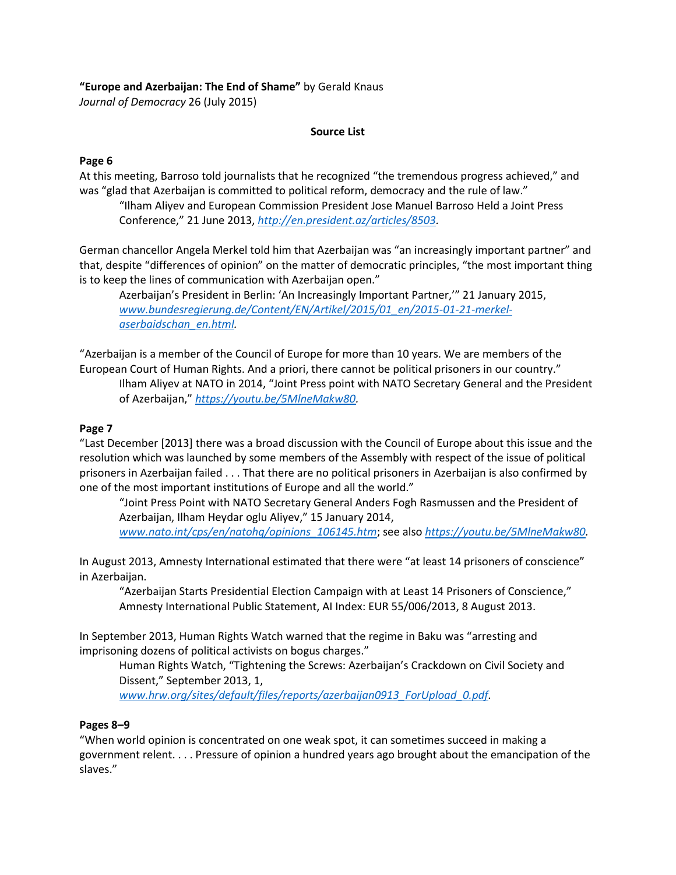# **"Europe and Azerbaijan: The End of Shame"** by Gerald Knaus

*Journal of Democracy* 26 (July 2015)

## **Source List**

## **Page 6**

At this meeting, Barroso told journalists that he recognized "the tremendous progress achieved," and was "glad that Azerbaijan is committed to political reform, democracy and the rule of law."

"Ilham Aliyev and European Commission President Jose Manuel Barroso Held a Joint Press Conference," 21 June 2013, *[http://en.president.az/articles/8503.](http://en.president.az/articles/8503)*

German chancellor Angela Merkel told him that Azerbaijan was "an increasingly important partner" and that, despite "differences of opinion" on the matter of democratic principles, "the most important thing is to keep the lines of communication with Azerbaijan open."

Azerbaijan's President in Berlin: 'An Increasingly Important Partner,'" 21 January 2015, *[www.bundesregierung.de/Content/EN/Artikel/2015/01\\_en/2015-01-21-merkel](http://www.bundesregierung.de/Content/EN/Artikel/2015/01_en/2015-01-21-merkel-aserbaidschan_en.html)[aserbaidschan\\_en.html.](http://www.bundesregierung.de/Content/EN/Artikel/2015/01_en/2015-01-21-merkel-aserbaidschan_en.html)*

"Azerbaijan is a member of the Council of Europe for more than 10 years. We are members of the European Court of Human Rights. And a priori, there cannot be political prisoners in our country." Ilham Aliyev at NATO in 2014, "Joint Press point with NATO Secretary General and the President of Azerbaijan," *[https://youtu.be/5MlneMakw80.](https://youtu.be/5MlneMakw80)*

## **Page 7**

"Last December [2013] there was a broad discussion with the Council of Europe about this issue and the resolution which was launched by some members of the Assembly with respect of the issue of political prisoners in Azerbaijan failed . . . That there are no political prisoners in Azerbaijan is also confirmed by one of the most important institutions of Europe and all the world."

"Joint Press Point with NATO Secretary General Anders Fogh Rasmussen and the President of Azerbaijan, Ilham Heydar oglu Aliyev," 15 January 2014, *[www.nato.int/cps/en/natohq/opinions\\_106145.htm](http://www.nato.int/cps/en/natohq/opinions_106145.htm)*; see also *[https://youtu.be/5MlneMakw80.](https://youtu.be/5MlneMakw80)*

In August 2013, Amnesty International estimated that there were "at least 14 prisoners of conscience" in Azerbaijan.

"Azerbaijan Starts Presidential Election Campaign with at Least 14 Prisoners of Conscience," Amnesty International Public Statement, AI Index: EUR 55/006/2013, 8 August 2013.

In September 2013, Human Rights Watch warned that the regime in Baku was "arresting and imprisoning dozens of political activists on bogus charges."

Human Rights Watch, "Tightening the Screws: Azerbaijan's Crackdown on Civil Society and Dissent," September 2013, 1,

*[www.hrw.org/sites/default/files/reports/azerbaijan0913\\_ForUpload\\_0.pdf.](http://www.hrw.org/sites/default/files/reports/azerbaijan0913_ForUpload_0.pdf)*

### **Pages 8–9**

"When world opinion is concentrated on one weak spot, it can sometimes succeed in making a government relent. . . . Pressure of opinion a hundred years ago brought about the emancipation of the slaves."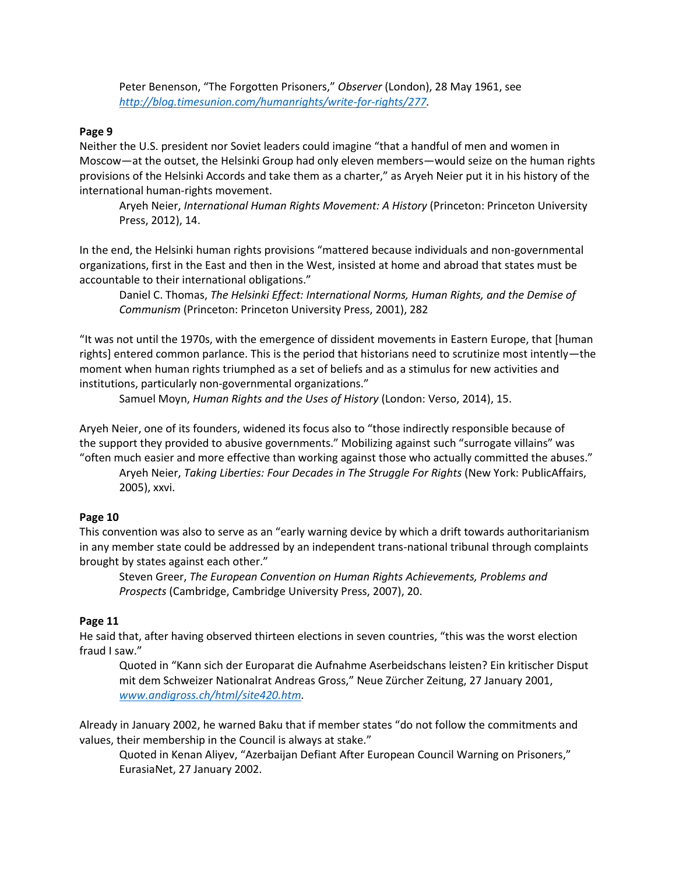Peter Benenson, "The Forgotten Prisoners," *Observer* (London), 28 May 1961, see *[http://blog.timesunion.com/humanrights/write-for-rights/277.](http://blog.timesunion.com/humanrights/write-for-rights/277)*

#### **Page 9**

Neither the U.S. president nor Soviet leaders could imagine "that a handful of men and women in Moscow—at the outset, the Helsinki Group had only eleven members—would seize on the human rights provisions of the Helsinki Accords and take them as a charter," as Aryeh Neier put it in his history of the international human-rights movement.

Aryeh Neier, *International Human Rights Movement: A History* (Princeton: Princeton University Press, 2012), 14.

In the end, the Helsinki human rights provisions "mattered because individuals and non-governmental organizations, first in the East and then in the West, insisted at home and abroad that states must be accountable to their international obligations."

Daniel C. Thomas, *The Helsinki Effect: International Norms, Human Rights, and the Demise of Communism* (Princeton: Princeton University Press, 2001), 282

"It was not until the 1970s, with the emergence of dissident movements in Eastern Europe, that [human rights] entered common parlance. This is the period that historians need to scrutinize most intently—the moment when human rights triumphed as a set of beliefs and as a stimulus for new activities and institutions, particularly non-governmental organizations."

Samuel Moyn, *Human Rights and the Uses of History* (London: Verso, 2014), 15.

Aryeh Neier, one of its founders, widened its focus also to "those indirectly responsible because of the support they provided to abusive governments." Mobilizing against such "surrogate villains" was "often much easier and more effective than working against those who actually committed the abuses."

Aryeh Neier, *Taking Liberties: Four Decades in The Struggle For Rights* (New York: PublicAffairs, 2005), xxvi.

#### **Page 10**

This convention was also to serve as an "early warning device by which a drift towards authoritarianism in any member state could be addressed by an independent trans-national tribunal through complaints brought by states against each other."

Steven Greer, *The European Convention on Human Rights Achievements, Problems and Prospects* (Cambridge, Cambridge University Press, 2007), 20.

#### **Page 11**

He said that, after having observed thirteen elections in seven countries, "this was the worst election fraud I saw."

Quoted in "Kann sich der Europarat die Aufnahme Aserbeidschans leisten? Ein kritischer Disput mit dem Schweizer Nationalrat Andreas Gross," Neue Zürcher Zeitung, 27 January 2001, *[www.andigross.ch/html/site420.htm.](http://www.andigross.ch/html/site420.htm)*

Already in January 2002, he warned Baku that if member states "do not follow the commitments and values, their membership in the Council is always at stake."

Quoted in Kenan Aliyev, "Azerbaijan Defiant After European Council Warning on Prisoners," EurasiaNet, 27 January 2002.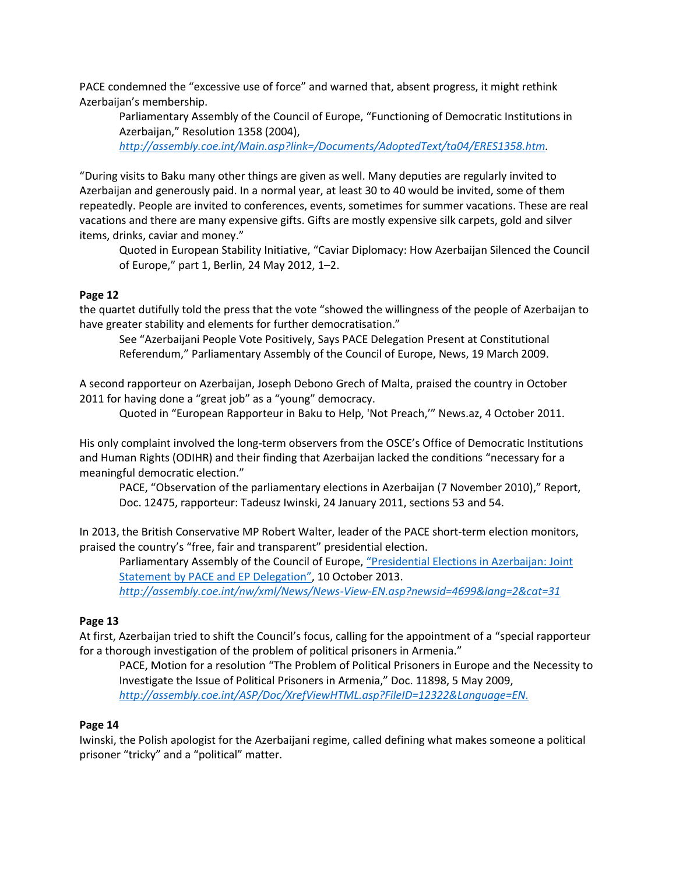PACE condemned the "excessive use of force" and warned that, absent progress, it might rethink Azerbaijan's membership.

Parliamentary Assembly of the Council of Europe, "Functioning of Democratic Institutions in Azerbaijan," Resolution 1358 (2004),

*[http://assembly.coe.int/Main.asp?link=/Documents/AdoptedText/ta04/ERES1358.htm.](http://assembly.coe.int/Main.asp?link=/Documents/AdoptedText/ta04/ERES1358.htm)*

"During visits to Baku many other things are given as well. Many deputies are regularly invited to Azerbaijan and generously paid. In a normal year, at least 30 to 40 would be invited, some of them repeatedly. People are invited to conferences, events, sometimes for summer vacations. These are real vacations and there are many expensive gifts. Gifts are mostly expensive silk carpets, gold and silver items, drinks, caviar and money."

Quoted in European Stability Initiative, "Caviar Diplomacy: How Azerbaijan Silenced the Council of Europe," part 1, Berlin, 24 May 2012, 1–2.

## **Page 12**

the quartet dutifully told the press that the vote "showed the willingness of the people of Azerbaijan to have greater stability and elements for further democratisation."

See "Azerbaijani People Vote Positively, Says PACE Delegation Present at Constitutional Referendum," Parliamentary Assembly of the Council of Europe, News, 19 March 2009.

A second rapporteur on Azerbaijan, Joseph Debono Grech of Malta, praised the country in October 2011 for having done a "great job" as a "young" democracy.

Quoted in "European Rapporteur in Baku to Help, 'Not Preach,'" News.az, 4 October 2011.

His only complaint involved the long-term observers from the OSCE's Office of Democratic Institutions and Human Rights (ODIHR) and their finding that Azerbaijan lacked the conditions "necessary for a meaningful democratic election."

PACE, "Observation of the parliamentary elections in Azerbaijan (7 November 2010)," Report, Doc. 12475, rapporteur: Tadeusz Iwinski, 24 January 2011, sections 53 and 54.

In 2013, the British Conservative MP Robert Walter, leader of the PACE short-term election monitors, praised the country's "free, fair and transparent" presidential election.

Parliamentary Assembly of the Council of Europe, "[Presidential Elections in Azerbaijan: Joint](http://assembly.coe.int/nw/xml/News/News-View-EN.asp?newsid=4699&lang=2&cat=31)  [Statement by PACE and EP Delegation](http://assembly.coe.int/nw/xml/News/News-View-EN.asp?newsid=4699&lang=2&cat=31)", 10 October 2013.

*<http://assembly.coe.int/nw/xml/News/News-View-EN.asp?newsid=4699&lang=2&cat=31>*

# **Page 13**

At first, Azerbaijan tried to shift the Council's focus, calling for the appointment of a "special rapporteur for a thorough investigation of the problem of political prisoners in Armenia."

PACE, Motion for a resolution "The Problem of Political Prisoners in Europe and the Necessity to Investigate the Issue of Political Prisoners in Armenia," Doc. 11898, 5 May 2009, *<http://assembly.coe.int/ASP/Doc/XrefViewHTML.asp?FileID=12322&Language=EN.>*

### **Page 14**

Iwinski, the Polish apologist for the Azerbaijani regime, called defining what makes someone a political prisoner "tricky" and a "political" matter.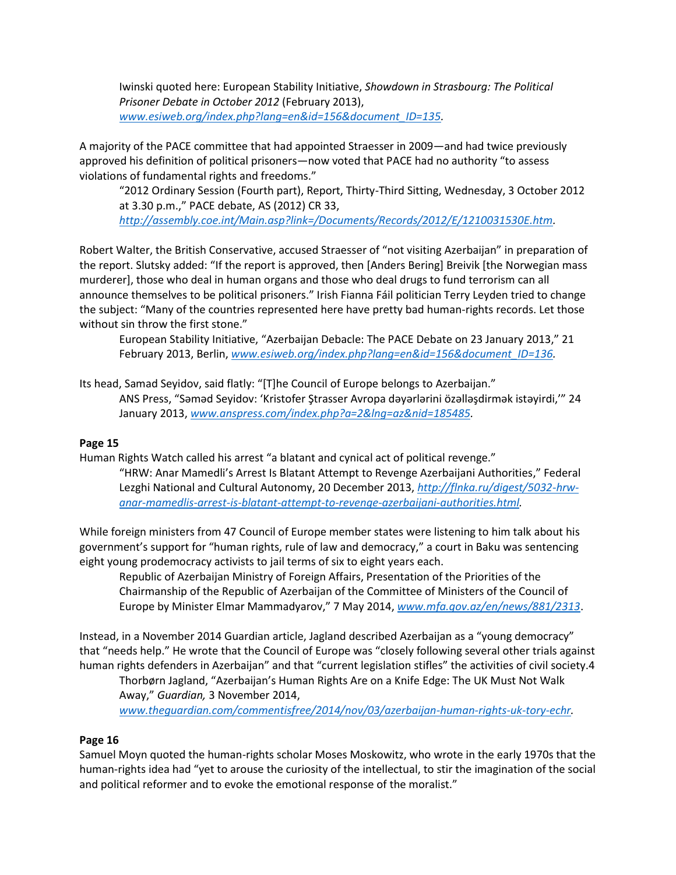Iwinski quoted here: European Stability Initiative, *Showdown in Strasbourg: The Political Prisoner Debate in October 2012* (February 2013), *[www.esiweb.org/index.php?lang=en&id=156&document\\_ID=135.](file:///C:/Users/Gerald/OneDrive/Desktop/0%20May%202015%20-%20and%20statistics/www.esiweb.org/index.php%3flang=en&id=156&document_ID=135)*

A majority of the PACE committee that had appointed Straesser in 2009—and had twice previously approved his definition of political prisoners—now voted that PACE had no authority "to assess violations of fundamental rights and freedoms."

"2012 Ordinary Session (Fourth part), Report, Thirty-Third Sitting, Wednesday, 3 October 2012 at 3.30 p.m.," PACE debate, AS (2012) CR 33,

*[http://assembly.coe.int/Main.asp?link=/Documents/Records/2012/E/1210031530E.htm.](http://assembly.coe.int/Main.asp?link=/Documents/Records/2012/E/1210031530E.htm)*

Robert Walter, the British Conservative, accused Straesser of "not visiting Azerbaijan" in preparation of the report. Slutsky added: "If the report is approved, then [Anders Bering] Breivik [the Norwegian mass murderer], those who deal in human organs and those who deal drugs to fund terrorism can all announce themselves to be political prisoners." Irish Fianna Fáil politician Terry Leyden tried to change the subject: "Many of the countries represented here have pretty bad human-rights records. Let those without sin throw the first stone."

European Stability Initiative, "Azerbaijan Debacle: The PACE Debate on 23 January 2013," 21 February 2013, Berlin, *[www.esiweb.org/index.php?lang=en&id=156&document\\_ID=136.](file:///C:/Users/Gerald/OneDrive/Desktop/0%20May%202015%20-%20and%20statistics/www.esiweb.org/index.php%3flang=en&id=156&document_ID=136)*

Its head, Samad Seyidov, said flatly: "[T]he Council of Europe belongs to Azerbaijan."

ANS Press, "Səməd Seyidov: 'Kristofer Ştrasser Avropa dəyərlərini özəlləşdirmək istəyirdi,'" 24 January 2013, *[www.anspress.com/index.php?a=2&lng=az&nid=185485.](file:///C:/Users/Gerald/OneDrive/Desktop/0%20May%202015%20-%20and%20statistics/www.anspress.com/index.php%3fa=2&lng=az&nid=185485)*

# **Page 15**

Human Rights Watch called his arrest "a blatant and cynical act of political revenge."

"HRW: Anar Mamedli's Arrest Is Blatant Attempt to Revenge Azerbaijani Authorities," Federal Lezghi National and Cultural Autonomy, 20 December 2013, *[http://flnka.ru/digest/5032-hrw](http://flnka.ru/digest/5032-hrw-anar-mamedlis-arrest-is-blatant-attempt-to-revenge-azerbaijani-authorities.html)[anar-mamedlis-arrest-is-blatant-attempt-to-revenge-azerbaijani-authorities.html.](http://flnka.ru/digest/5032-hrw-anar-mamedlis-arrest-is-blatant-attempt-to-revenge-azerbaijani-authorities.html)*

While foreign ministers from 47 Council of Europe member states were listening to him talk about his government's support for "human rights, rule of law and democracy," a court in Baku was sentencing eight young prodemocracy activists to jail terms of six to eight years each.

Republic of Azerbaijan Ministry of Foreign Affairs, Presentation of the Priorities of the Chairmanship of the Republic of Azerbaijan of the Committee of Ministers of the Council of Europe by Minister Elmar Mammadyarov," 7 May 2014, *[www.mfa.gov.az/en/news/881/2313](file:///C:/Users/Gerald/OneDrive/Desktop/0%20May%202015%20-%20and%20statistics/www.mfa.gov.az/en/news/881/2313)*.

Instead, in a November 2014 Guardian article, Jagland described Azerbaijan as a "young democracy" that "needs help." He wrote that the Council of Europe was "closely following several other trials against human rights defenders in Azerbaijan" and that "current legislation stifles" the activities of civil society.4

Thorbørn Jagland, "Azerbaijan's Human Rights Are on a Knife Edge: The UK Must Not Walk Away," *Guardian,* 3 November 2014,

*[www.theguardian.com/commentisfree/2014/nov/03/azerbaijan-human-rights-uk-tory-echr.](file:///C:/Users/Gerald/OneDrive/Desktop/0%20May%202015%20-%20and%20statistics/www.theguardian.com/commentisfree/2014/nov/03/azerbaijan-human-rights-uk-tory-echr)*

# **Page 16**

Samuel Moyn quoted the human-rights scholar Moses Moskowitz, who wrote in the early 1970s that the human-rights idea had "yet to arouse the curiosity of the intellectual, to stir the imagination of the social and political reformer and to evoke the emotional response of the moralist."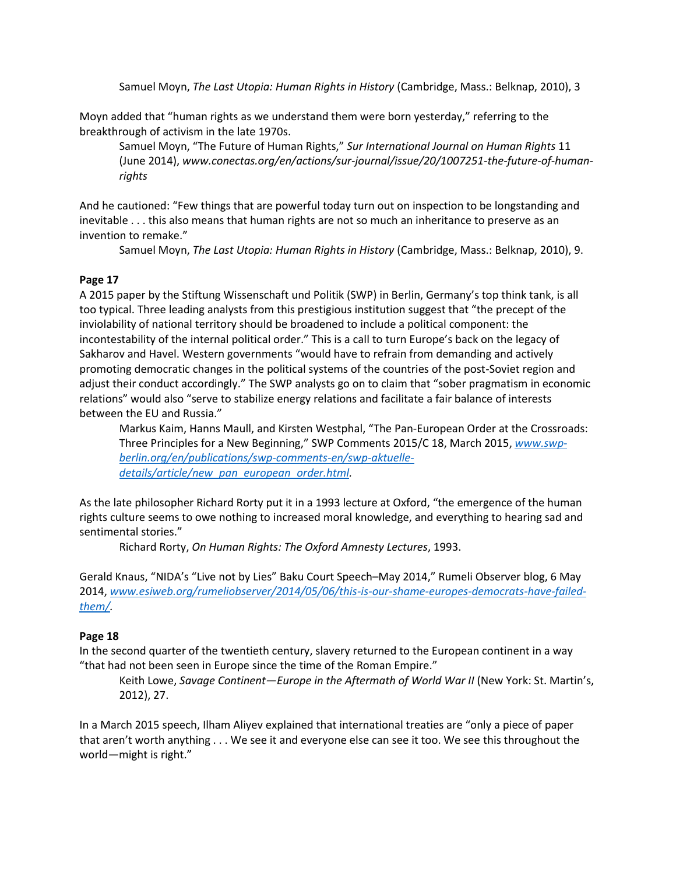Samuel Moyn, *The Last Utopia: Human Rights in History* (Cambridge, Mass.: Belknap, 2010), 3

Moyn added that "human rights as we understand them were born yesterday," referring to the breakthrough of activism in the late 1970s.

Samuel Moyn, "The Future of Human Rights," *Sur International Journal on Human Rights* 11 (June 2014), *[www.conectas.org/en/actions/sur-journal/issue/20/1007251-the-future-of-human](http://www.conectas.org/en/actions/sur-journal/issue/20/1007251-the-future-of-human-rights)[rights](http://www.conectas.org/en/actions/sur-journal/issue/20/1007251-the-future-of-human-rights)*

And he cautioned: "Few things that are powerful today turn out on inspection to be longstanding and inevitable . . . this also means that human rights are not so much an inheritance to preserve as an invention to remake."

Samuel Moyn, *The Last Utopia: Human Rights in History* (Cambridge, Mass.: Belknap, 2010), 9.

### **Page 17**

A 2015 paper by the Stiftung Wissenschaft und Politik (SWP) in Berlin, Germany's top think tank, is all too typical. Three leading analysts from this prestigious institution suggest that "the precept of the inviolability of national territory should be broadened to include a political component: the incontestability of the internal political order." This is a call to turn Europe's back on the legacy of Sakharov and Havel. Western governments "would have to refrain from demanding and actively promoting democratic changes in the political systems of the countries of the post-Soviet region and adjust their conduct accordingly." The SWP analysts go on to claim that "sober pragmatism in economic relations" would also "serve to stabilize energy relations and facilitate a fair balance of interests between the EU and Russia."

Markus Kaim, Hanns Maull, and Kirsten Westphal, "The Pan-European Order at the Crossroads: Three Principles for a New Beginning," SWP Comments 2015/C 18, March 2015, *[www.swp](file:///C:/Users/Gerald/OneDrive/Desktop/0%20May%202015%20-%20and%20statistics/www.swp-berlin.org/en/publications/swp-comments-en/swp-aktuelle-details/article/new_pan_european_order.html)[berlin.org/en/publications/swp-comments-en/swp-aktuelle](file:///C:/Users/Gerald/OneDrive/Desktop/0%20May%202015%20-%20and%20statistics/www.swp-berlin.org/en/publications/swp-comments-en/swp-aktuelle-details/article/new_pan_european_order.html)[details/article/new\\_pan\\_european\\_order.html.](file:///C:/Users/Gerald/OneDrive/Desktop/0%20May%202015%20-%20and%20statistics/www.swp-berlin.org/en/publications/swp-comments-en/swp-aktuelle-details/article/new_pan_european_order.html)*

As the late philosopher Richard Rorty put it in a 1993 lecture at Oxford, "the emergence of the human rights culture seems to owe nothing to increased moral knowledge, and everything to hearing sad and sentimental stories."

Richard Rorty, *On Human Rights: The Oxford Amnesty Lectures*, 1993.

Gerald Knaus, "NIDA's "Live not by Lies" Baku Court Speech–May 2014," Rumeli Observer blog, 6 May 2014, *[www.esiweb.org/rumeliobserver/2014/05/06/this-is-our-shame-europes-democrats-have-failed](file:///C:/Users/Gerald/OneDrive/Desktop/0%20May%202015%20-%20and%20statistics/www.esiweb.org/rumeliobserver/2014/05/06/this-is-our-shame-europes-democrats-have-failed-them/)[them/.](file:///C:/Users/Gerald/OneDrive/Desktop/0%20May%202015%20-%20and%20statistics/www.esiweb.org/rumeliobserver/2014/05/06/this-is-our-shame-europes-democrats-have-failed-them/)*

### **Page 18**

In the second quarter of the twentieth century, slavery returned to the European continent in a way "that had not been seen in Europe since the time of the Roman Empire."

Keith Lowe, *Savage Continent—Europe in the Aftermath of World War II* (New York: St. Martin's, 2012), 27.

In a March 2015 speech, Ilham Aliyev explained that international treaties are "only a piece of paper that aren't worth anything . . . We see it and everyone else can see it too. We see this throughout the world—might is right."